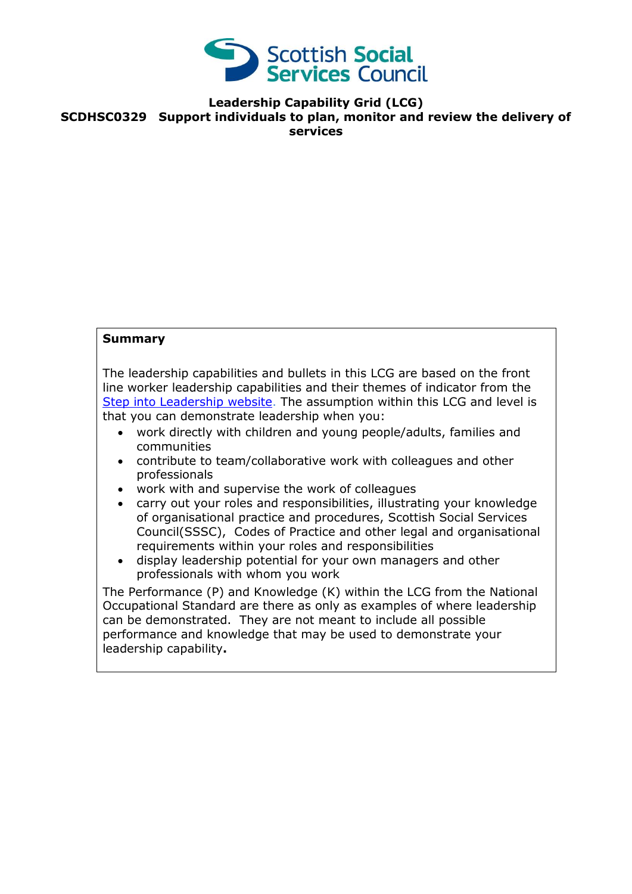

**Leadership Capability Grid (LCG) SCDHSC0329 Support individuals to plan, monitor and review the delivery of services**

## **Summary**

The leadership capabilities and bullets in this LCG are based on the front line worker leadership capabilities and their themes of indicator from the [Step into Leadership website.](http://www.stepintoleadership.info/) The assumption within this LCG and level is that you can demonstrate leadership when you:

- work directly with children and young people/adults, families and communities
- contribute to team/collaborative work with colleagues and other professionals
- work with and supervise the work of colleagues
- carry out your roles and responsibilities, illustrating your knowledge of organisational practice and procedures, Scottish Social Services Council(SSSC), Codes of Practice and other legal and organisational requirements within your roles and responsibilities
- display leadership potential for your own managers and other professionals with whom you work

The Performance (P) and Knowledge (K) within the LCG from the National Occupational Standard are there as only as examples of where leadership can be demonstrated. They are not meant to include all possible performance and knowledge that may be used to demonstrate your leadership capability**.**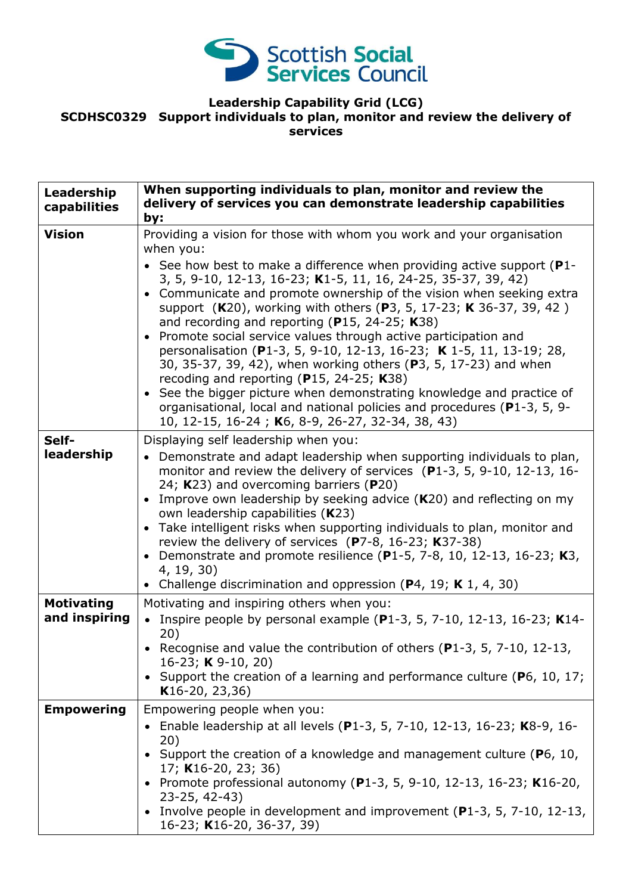

## **Leadership Capability Grid (LCG) SCDHSC0329 Support individuals to plan, monitor and review the delivery of services**

| Leadership<br>capabilities         | When supporting individuals to plan, monitor and review the<br>delivery of services you can demonstrate leadership capabilities<br>by:                                                                                                                                                                                                                                                                                                                                                                                                                                                                                                                                                                                                                                                                                                                                                                          |
|------------------------------------|-----------------------------------------------------------------------------------------------------------------------------------------------------------------------------------------------------------------------------------------------------------------------------------------------------------------------------------------------------------------------------------------------------------------------------------------------------------------------------------------------------------------------------------------------------------------------------------------------------------------------------------------------------------------------------------------------------------------------------------------------------------------------------------------------------------------------------------------------------------------------------------------------------------------|
| <b>Vision</b>                      | Providing a vision for those with whom you work and your organisation<br>when you:<br>• See how best to make a difference when providing active support ( $P1$ -<br>3, 5, 9-10, 12-13, 16-23; K1-5, 11, 16, 24-25, 35-37, 39, 42)<br>• Communicate and promote ownership of the vision when seeking extra<br>support (K20), working with others (P3, 5, 17-23; K 36-37, 39, 42)<br>and recording and reporting (P15, 24-25; K38)<br>Promote social service values through active participation and<br>personalisation (P1-3, 5, 9-10, 12-13, 16-23; K 1-5, 11, 13-19; 28,<br>30, 35-37, 39, 42), when working others (P3, 5, 17-23) and when<br>recoding and reporting ( $P15$ , 24-25; K38)<br>See the bigger picture when demonstrating knowledge and practice of<br>$\bullet$<br>organisational, local and national policies and procedures (P1-3, 5, 9-<br>10, 12-15, 16-24; K6, 8-9, 26-27, 32-34, 38, 43) |
| Self-<br>leadership                | Displaying self leadership when you:<br>Demonstrate and adapt leadership when supporting individuals to plan,<br>monitor and review the delivery of services (P1-3, 5, 9-10, 12-13, 16-<br>24; K23) and overcoming barriers (P20)<br>Improve own leadership by seeking advice (K20) and reflecting on my<br>own leadership capabilities (K23)<br>Take intelligent risks when supporting individuals to plan, monitor and<br>$\bullet$<br>review the delivery of services (P7-8, 16-23; K37-38)<br>Demonstrate and promote resilience (P1-5, 7-8, 10, 12-13, 16-23; K3,<br>4, 19, 30)<br>Challenge discrimination and oppression ( $P$ 4, 19; K 1, 4, 30)                                                                                                                                                                                                                                                        |
| <b>Motivating</b><br>and inspiring | Motivating and inspiring others when you:<br>• Inspire people by personal example (P1-3, 5, 7-10, 12-13, 16-23; K14-<br>20)<br>• Recognise and value the contribution of others ( $P1-3$ , 5, 7-10, 12-13,<br>16-23; <b>K</b> 9-10, 20)<br>• Support the creation of a learning and performance culture (P6, 10, 17;<br>$K16-20, 23, 36)$                                                                                                                                                                                                                                                                                                                                                                                                                                                                                                                                                                       |
| <b>Empowering</b>                  | Empowering people when you:<br>Enable leadership at all levels (P1-3, 5, 7-10, 12-13, 16-23; K8-9, 16-<br>20)<br>Support the creation of a knowledge and management culture ( $P_6$ , 10,<br>17; K16-20, 23; 36)<br>• Promote professional autonomy (P1-3, 5, 9-10, 12-13, 16-23; K16-20,<br>$23 - 25, 42 - 43)$<br>Involve people in development and improvement ( $P1-3$ , 5, 7-10, 12-13,<br>16-23; K16-20, 36-37, 39)                                                                                                                                                                                                                                                                                                                                                                                                                                                                                       |